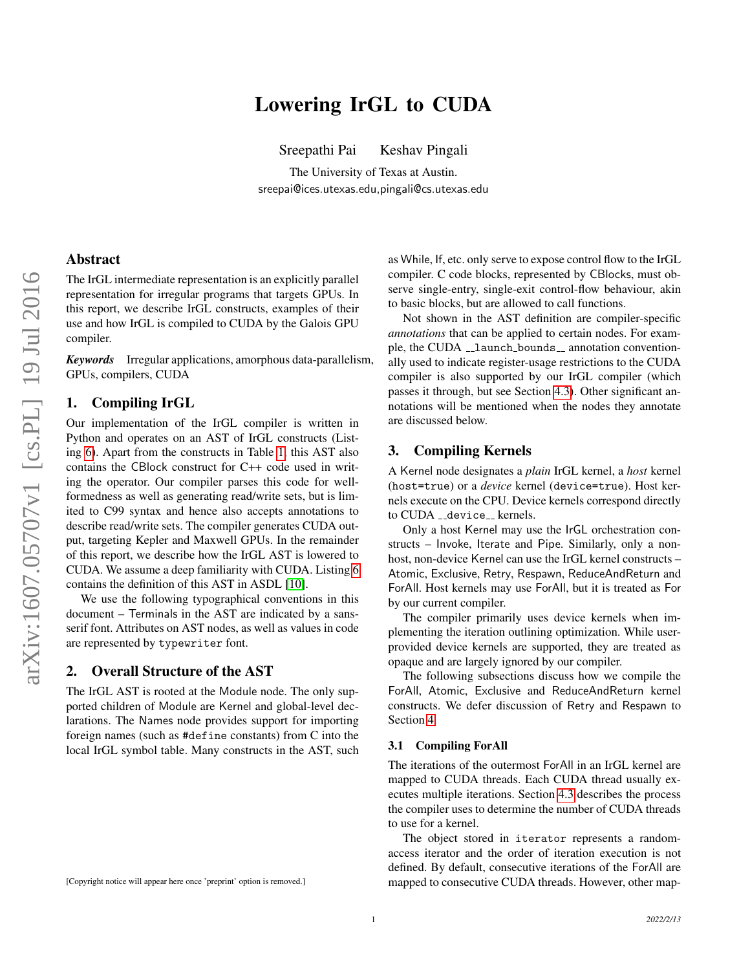# Lowering IrGL to CUDA

Sreepathi Pai Keshav Pingali

The University of Texas at Austin. sreepai@ices.utexas.edu,pingali@cs.utexas.edu

## Abstract

The IrGL intermediate representation is an explicitly parallel representation for irregular programs that targets GPUs. In this report, we describe IrGL constructs, examples of their use and how IrGL is compiled to CUDA by the Galois GPU compiler.

*Keywords* Irregular applications, amorphous data-parallelism, GPUs, compilers, CUDA

## 1. Compiling IrGL

Our implementation of the IrGL compiler is written in Python and operates on an AST of IrGL constructs (Listing [6\)](#page-6-0). Apart from the constructs in Table [1,](#page-1-0) this AST also contains the CBlock construct for C++ code used in writing the operator. Our compiler parses this code for wellformedness as well as generating read/write sets, but is limited to C99 syntax and hence also accepts annotations to describe read/write sets. The compiler generates CUDA output, targeting Kepler and Maxwell GPUs. In the remainder of this report, we describe how the IrGL AST is lowered to CUDA. We assume a deep familiarity with CUDA. Listing [6](#page-6-0) contains the definition of this AST in ASDL [\[10\]](#page-5-0).

We use the following typographical conventions in this document – Terminals in the AST are indicated by a sansserif font. Attributes on AST nodes, as well as values in code are represented by typewriter font.

#### 2. Overall Structure of the AST

The IrGL AST is rooted at the Module node. The only supported children of Module are Kernel and global-level declarations. The Names node provides support for importing foreign names (such as #define constants) from C into the local IrGL symbol table. Many constructs in the AST, such as While, If, etc. only serve to expose control flow to the IrGL compiler. C code blocks, represented by CBlocks, must observe single-entry, single-exit control-flow behaviour, akin to basic blocks, but are allowed to call functions.

Not shown in the AST definition are compiler-specific *annotations* that can be applied to certain nodes. For example, the CUDA \_\_1aunch\_bounds \_\_ annotation conventionally used to indicate register-usage restrictions to the CUDA compiler is also supported by our IrGL compiler (which passes it through, but see Section [4.3\)](#page-4-0). Other significant annotations will be mentioned when the nodes they annotate are discussed below.

## 3. Compiling Kernels

A Kernel node designates a *plain* IrGL kernel, a *host* kernel (host=true) or a *device* kernel (device=true). Host kernels execute on the CPU. Device kernels correspond directly to CUDA \_\_device\_\_ kernels.

Only a host Kernel may use the IrGL orchestration constructs – Invoke, Iterate and Pipe. Similarly, only a nonhost, non-device Kernel can use the IrGL kernel constructs – Atomic, Exclusive, Retry, Respawn, ReduceAndReturn and ForAll. Host kernels may use ForAll, but it is treated as For by our current compiler.

The compiler primarily uses device kernels when implementing the iteration outlining optimization. While userprovided device kernels are supported, they are treated as opaque and are largely ignored by our compiler.

The following subsections discuss how we compile the ForAll, Atomic, Exclusive and ReduceAndReturn kernel constructs. We defer discussion of Retry and Respawn to Section [4.](#page-3-0)

#### 3.1 Compiling ForAll

The iterations of the outermost ForAll in an IrGL kernel are mapped to CUDA threads. Each CUDA thread usually executes multiple iterations. Section [4.3](#page-4-0) describes the process the compiler uses to determine the number of CUDA threads to use for a kernel.

The object stored in iterator represents a randomaccess iterator and the order of iteration execution is not defined. By default, consecutive iterations of the ForAll are mapped to consecutive CUDA threads. However, other map-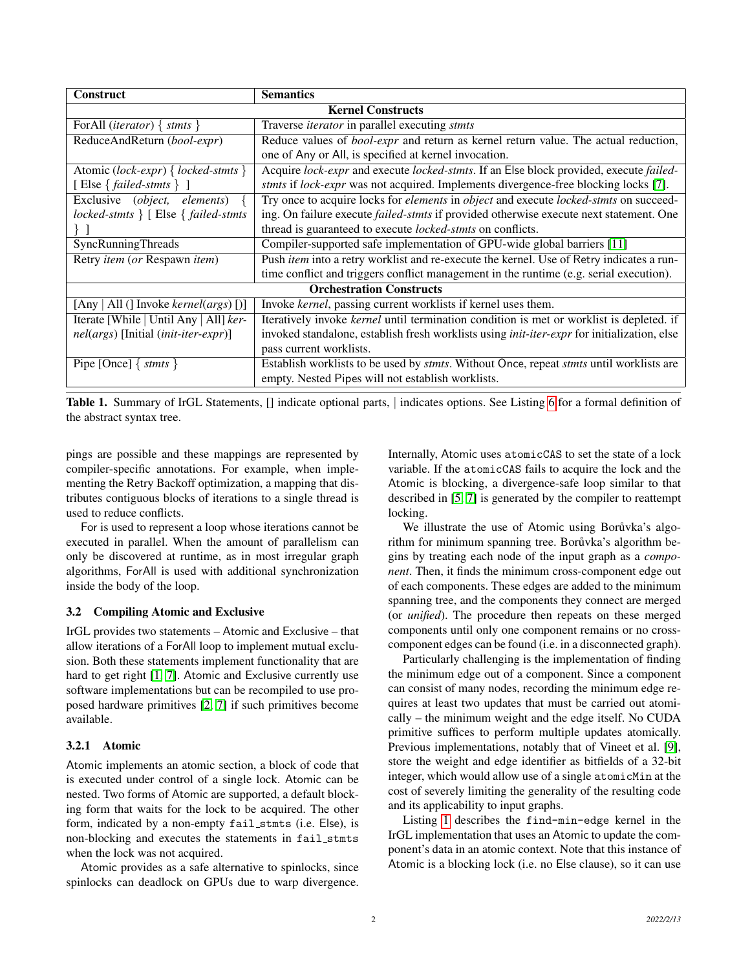| <b>Construct</b>                                     | <b>Semantics</b>                                                                                           |
|------------------------------------------------------|------------------------------------------------------------------------------------------------------------|
| <b>Kernel Constructs</b>                             |                                                                                                            |
| For All ( <i>iterator</i> ) { $stmts$ }              | Traverse <i>iterator</i> in parallel executing stmts                                                       |
| ReduceAndReturn (bool-expr)                          | Reduce values of <i>bool-expr</i> and return as kernel return value. The actual reduction,                 |
|                                                      | one of Any or All, is specified at kernel invocation.                                                      |
| Atomic (lock-expr) { locked-stmts }                  | Acquire lock-expr and execute locked-stmts. If an Else block provided, execute failed-                     |
| [Else { $failed\text{-}st mts$ } ]                   | stmts if lock-expr was not acquired. Implements divergence-free blocking locks [7].                        |
| Exclusive (object, elements)                         | Try once to acquire locks for <i>elements</i> in <i>object</i> and execute <i>locked-stmts</i> on succeed- |
| $locked \times \}$ [ Else $\{ failed \times \}$      | ing. On failure execute <i>failed-stmts</i> if provided otherwise execute next statement. One              |
|                                                      | thread is guaranteed to execute locked-stmts on conflicts.                                                 |
| SyncRunningThreads                                   | Compiler-supported safe implementation of GPU-wide global barriers [11]                                    |
| Retry item (or Respawn item)                         | Push item into a retry worklist and re-execute the kernel. Use of Retry indicates a run-                   |
|                                                      | time conflict and triggers conflict management in the runtime (e.g. serial execution).                     |
| <b>Orchestration Constructs</b>                      |                                                                                                            |
| All (] Invoke <i>kernel(args</i> ) [)]<br>[Any       | Invoke kernel, passing current worklists if kernel uses them.                                              |
| Iterate [While   Until Any   All] ker-               | Iteratively invoke <i>kernel</i> until termination condition is met or worklist is depleted. if            |
| <i>nel(args)</i> [Initial ( <i>init-iter-expr</i> )] | invoked standalone, establish fresh worklists using <i>init-iter-expr</i> for initialization, else         |
|                                                      | pass current worklists.                                                                                    |
| Pipe [Once] $\{ \text{stmts } \}$                    | Establish worklists to be used by stmts. Without Once, repeat stmts until worklists are                    |
|                                                      | empty. Nested Pipes will not establish worklists.                                                          |

<span id="page-1-0"></span>Table 1. Summary of IrGL Statements, [] indicate optional parts, | indicates options. See Listing [6](#page-6-0) for a formal definition of the abstract syntax tree.

pings are possible and these mappings are represented by compiler-specific annotations. For example, when implementing the Retry Backoff optimization, a mapping that distributes contiguous blocks of iterations to a single thread is used to reduce conflicts.

For is used to represent a loop whose iterations cannot be executed in parallel. When the amount of parallelism can only be discovered at runtime, as in most irregular graph algorithms, ForAll is used with additional synchronization inside the body of the loop.

#### 3.2 Compiling Atomic and Exclusive

IrGL provides two statements – Atomic and Exclusive – that allow iterations of a ForAll loop to implement mutual exclusion. Both these statements implement functionality that are hard to get right [\[1,](#page-5-3) [7\]](#page-5-1). Atomic and Exclusive currently use software implementations but can be recompiled to use proposed hardware primitives [\[2,](#page-5-4) [7\]](#page-5-1) if such primitives become available.

#### 3.2.1 Atomic

Atomic implements an atomic section, a block of code that is executed under control of a single lock. Atomic can be nested. Two forms of Atomic are supported, a default blocking form that waits for the lock to be acquired. The other form, indicated by a non-empty fail stmts (i.e. Else), is non-blocking and executes the statements in fail\_stmts when the lock was not acquired.

Atomic provides as a safe alternative to spinlocks, since spinlocks can deadlock on GPUs due to warp divergence.

Internally, Atomic uses atomicCAS to set the state of a lock variable. If the atomicCAS fails to acquire the lock and the Atomic is blocking, a divergence-safe loop similar to that described in [\[5,](#page-5-5) [7\]](#page-5-1) is generated by the compiler to reattempt locking.

We illustrate the use of Atomic using Borůvka's algorithm for minimum spanning tree. Borůvka's algorithm begins by treating each node of the input graph as a *component*. Then, it finds the minimum cross-component edge out of each components. These edges are added to the minimum spanning tree, and the components they connect are merged (or *unified*). The procedure then repeats on these merged components until only one component remains or no crosscomponent edges can be found (i.e. in a disconnected graph).

Particularly challenging is the implementation of finding the minimum edge out of a component. Since a component can consist of many nodes, recording the minimum edge requires at least two updates that must be carried out atomically – the minimum weight and the edge itself. No CUDA primitive suffices to perform multiple updates atomically. Previous implementations, notably that of Vineet et al. [\[9\]](#page-5-6), store the weight and edge identifier as bitfields of a 32-bit integer, which would allow use of a single atomicMin at the cost of severely limiting the generality of the resulting code and its applicability to input graphs.

Listing [1](#page-2-0) describes the find-min-edge kernel in the IrGL implementation that uses an Atomic to update the component's data in an atomic context. Note that this instance of Atomic is a blocking lock (i.e. no Else clause), so it can use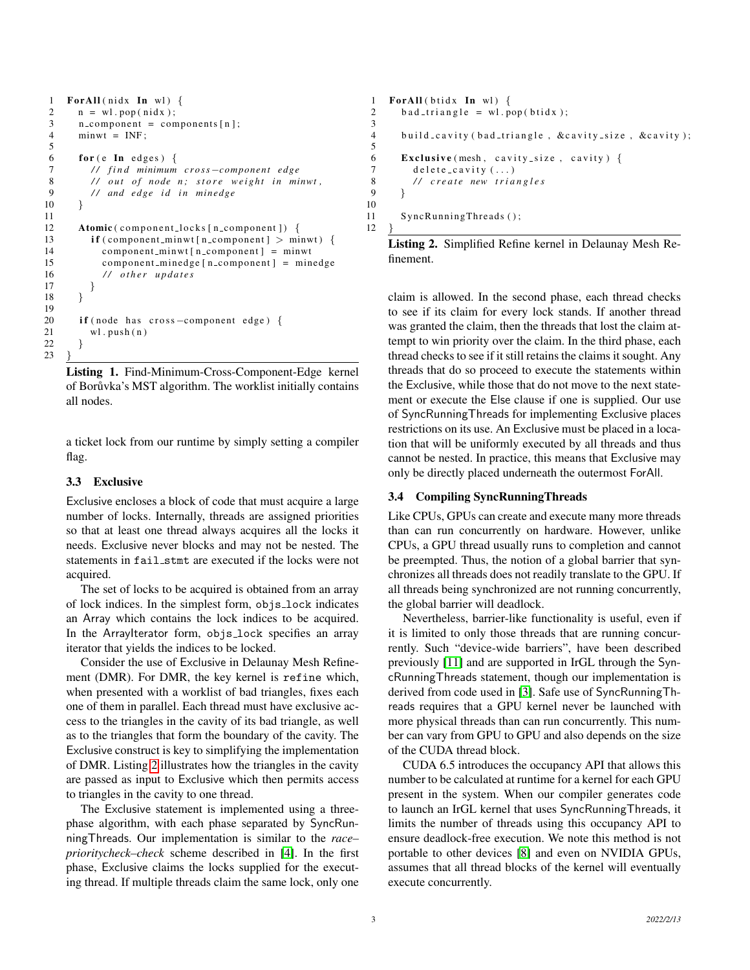```
1 ForAll (nidx In wl) {
 2 \quad n = \text{wl.pop}(\text{nidx});3 n component = components [n];
 4 minwt = INF ;
 5
 6 for (e In edges) {
 7 // find minimum cross—component edge<br>8 // out of node n; store weight in mi
          // out of node n; store weight in minwt,
 9 // and edge id in minedge<br>10 }
1011
12 Atomic ( component locks [ n _ component ] ) {
13 if ( component_minwt [n_component ] > minwt) {
14 component_minwt [n_component] = minwt<br>15 component_minedge [n_component] = min
15 component_minedge [n \text{-component}] = \text{minedge}<br>16 // other updates
             16 / / o t h e r u p d at e s
\begin{array}{cc} 17 & & \\ 18 & & \end{array}18 }
19
20 if (node has cross-component edge) {
21 wl. push (n)
22 }
23
```
Listing 1. Find-Minimum-Cross-Component-Edge kernel of Borůvka's MST algorithm. The worklist initially contains all nodes.

a ticket lock from our runtime by simply setting a compiler flag.

### 3.3 Exclusive

Exclusive encloses a block of code that must acquire a large number of locks. Internally, threads are assigned priorities so that at least one thread always acquires all the locks it needs. Exclusive never blocks and may not be nested. The statements in fail\_stmt are executed if the locks were not acquired.

The set of locks to be acquired is obtained from an array of lock indices. In the simplest form, objs lock indicates an Array which contains the lock indices to be acquired. In the ArrayIterator form, objs\_lock specifies an array iterator that yields the indices to be locked.

Consider the use of Exclusive in Delaunay Mesh Refinement (DMR). For DMR, the key kernel is refine which, when presented with a worklist of bad triangles, fixes each one of them in parallel. Each thread must have exclusive access to the triangles in the cavity of its bad triangle, as well as to the triangles that form the boundary of the cavity. The Exclusive construct is key to simplifying the implementation of DMR. Listing [2](#page-2-1) illustrates how the triangles in the cavity are passed as input to Exclusive which then permits access to triangles in the cavity to one thread.

The Exclusive statement is implemented using a threephase algorithm, with each phase separated by SyncRunningThreads. Our implementation is similar to the *race– prioritycheck–check* scheme described in [\[4\]](#page-5-7). In the first phase, Exclusive claims the locks supplied for the executing thread. If multiple threads claim the same lock, only one

```
1 ForAll (btidx \text{In } wl) {
2 \text{ bad-triangle} = \text{wl.pop}(\text{btidx});3
4 build_cavity (bad_triangle, &cavity_size, &cavity);
5
6 Exclusive (mesh, cavity size, cavity) \{7 delete_cavity (...)<br>8 // create new tria
          8 / / c r e a t e new t r i a n g l e s
\overline{9}10
11 SyncRunningThreads();
12 }
```
Listing 2. Simplified Refine kernel in Delaunay Mesh Refinement.

claim is allowed. In the second phase, each thread checks to see if its claim for every lock stands. If another thread was granted the claim, then the threads that lost the claim attempt to win priority over the claim. In the third phase, each thread checks to see if it still retains the claims it sought. Any threads that do so proceed to execute the statements within the Exclusive, while those that do not move to the next statement or execute the Else clause if one is supplied. Our use of SyncRunningThreads for implementing Exclusive places restrictions on its use. An Exclusive must be placed in a location that will be uniformly executed by all threads and thus cannot be nested. In practice, this means that Exclusive may only be directly placed underneath the outermost ForAll.

#### <span id="page-2-2"></span>3.4 Compiling SyncRunningThreads

Like CPUs, GPUs can create and execute many more threads than can run concurrently on hardware. However, unlike CPUs, a GPU thread usually runs to completion and cannot be preempted. Thus, the notion of a global barrier that synchronizes all threads does not readily translate to the GPU. If all threads being synchronized are not running concurrently, the global barrier will deadlock.

Nevertheless, barrier-like functionality is useful, even if it is limited to only those threads that are running concurrently. Such "device-wide barriers", have been described previously [\[11\]](#page-5-2) and are supported in IrGL through the SyncRunningThreads statement, though our implementation is derived from code used in [\[3\]](#page-5-8). Safe use of SyncRunningThreads requires that a GPU kernel never be launched with more physical threads than can run concurrently. This number can vary from GPU to GPU and also depends on the size of the CUDA thread block.

CUDA 6.5 introduces the occupancy API that allows this number to be calculated at runtime for a kernel for each GPU present in the system. When our compiler generates code to launch an IrGL kernel that uses SyncRunningThreads, it limits the number of threads using this occupancy API to ensure deadlock-free execution. We note this method is not portable to other devices [\[8\]](#page-5-9) and even on NVIDIA GPUs, assumes that all thread blocks of the kernel will eventually execute concurrently.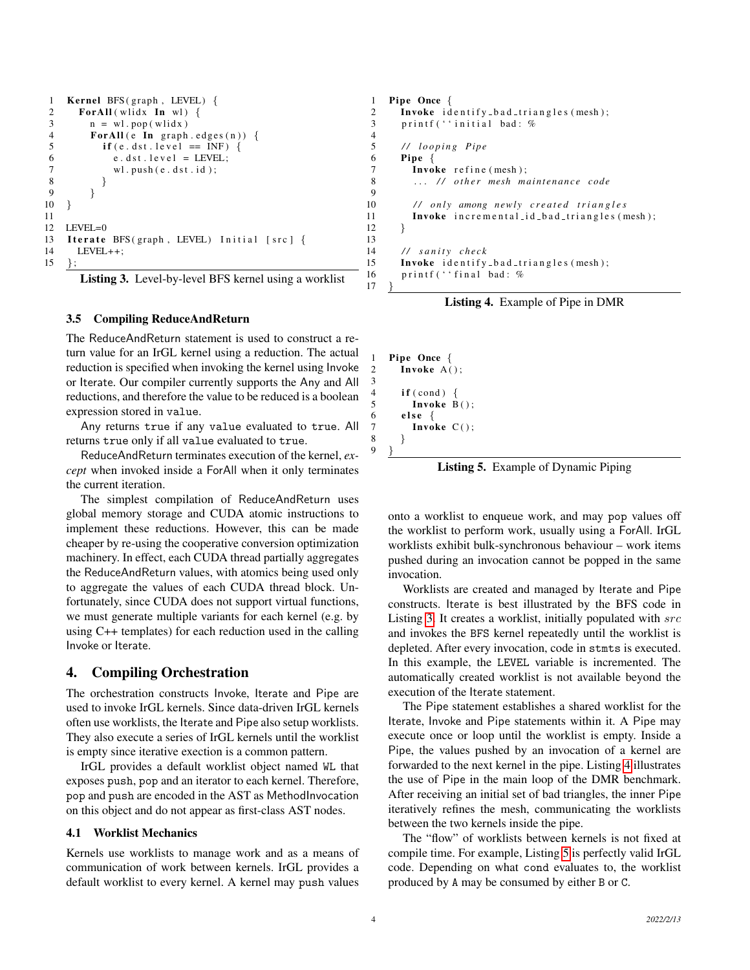```
1 Kernel BFS (graph, LEVEL) {
 2 ForAll (wlidx \text{In } wl) {
 3 \qquad n = \text{wl.pop}(\text{wlidx})4 ForAll (e In graph . edges (n)) {<br>5 if (e dst level == INF) {
               \mathbf{if}(\mathbf{e}. \mathbf{dst}. \mathbf{level} == \mathbf{INF}) {
 6 \qquad e. \, dist. \, level = LEVEL;7 wl. push(e. ds t. id);<br>8 }
 8 }
 \begin{matrix} 9 & 9 \\ 0 & 1 \end{matrix}1011
12 LEVEL=0
13 Iterate BFS (graph, LEVEL) Initial [src] {
14 LEVEL++;<br>15 };
     \};
```


#### 3.5 Compiling ReduceAndReturn

The ReduceAndReturn statement is used to construct a return value for an IrGL kernel using a reduction. The actual reduction is specified when invoking the kernel using Invoke or Iterate. Our compiler currently supports the Any and All reductions, and therefore the value to be reduced is a boolean expression stored in value.

Any returns true if any value evaluated to true. All returns true only if all value evaluated to true.

ReduceAndReturn terminates execution of the kernel, *except* when invoked inside a ForAll when it only terminates the current iteration.

The simplest compilation of ReduceAndReturn uses global memory storage and CUDA atomic instructions to implement these reductions. However, this can be made cheaper by re-using the cooperative conversion optimization machinery. In effect, each CUDA thread partially aggregates the ReduceAndReturn values, with atomics being used only to aggregate the values of each CUDA thread block. Unfortunately, since CUDA does not support virtual functions, we must generate multiple variants for each kernel (e.g. by using C++ templates) for each reduction used in the calling Invoke or Iterate.

## <span id="page-3-0"></span>4. Compiling Orchestration

The orchestration constructs Invoke, Iterate and Pipe are used to invoke IrGL kernels. Since data-driven IrGL kernels often use worklists, the Iterate and Pipe also setup worklists. They also execute a series of IrGL kernels until the worklist is empty since iterative exection is a common pattern.

IrGL provides a default worklist object named WL that exposes push, pop and an iterator to each kernel. Therefore, pop and push are encoded in the AST as MethodInvocation on this object and do not appear as first-class AST nodes.

#### 4.1 Worklist Mechanics

Kernels use worklists to manage work and as a means of communication of work between kernels. IrGL provides a default worklist to every kernel. A kernel may push values

```
1 Pipe Once {
2 Invoke identify bad triangles (mesh);
3 printf (''initial bad: %
       5 / / l o o p i n g Pi p e
6 Pipe {
7 Invoke refine (mesh);<br>8 // other mesh m
         ... // other mesh maintenance code
         // only among newly created triangles
11 Invoke incremental_id_bad_triangles (mesh);
12 }
14 // sanity check<br>15 Invoke identify
15 Invoke identify bad triangles (mesh);<br>16 printf ('final bad: %printf ('' final bad: %
```
Listing 4. Example of Pipe in DMR

```
1 Pipe Once {<br>2 Invoke A(
      Invoke A();
      if (cond) \{Invoke B();
6 else {
7 Invoke C():
```
 $\frac{4}{5}$ 

 $\frac{9}{10}$ 

13

17 }

3

8 } 9 }

Listing 5. Example of Dynamic Piping

onto a worklist to enqueue work, and may pop values off the worklist to perform work, usually using a ForAll. IrGL worklists exhibit bulk-synchronous behaviour – work items pushed during an invocation cannot be popped in the same invocation.

Worklists are created and managed by Iterate and Pipe constructs. Iterate is best illustrated by the BFS code in Listing [3.](#page-3-1) It creates a worklist, initially populated with src and invokes the BFS kernel repeatedly until the worklist is depleted. After every invocation, code in stmts is executed. In this example, the LEVEL variable is incremented. The automatically created worklist is not available beyond the execution of the Iterate statement.

The Pipe statement establishes a shared worklist for the Iterate, Invoke and Pipe statements within it. A Pipe may execute once or loop until the worklist is empty. Inside a Pipe, the values pushed by an invocation of a kernel are forwarded to the next kernel in the pipe. Listing [4](#page-3-2) illustrates the use of Pipe in the main loop of the DMR benchmark. After receiving an initial set of bad triangles, the inner Pipe iteratively refines the mesh, communicating the worklists between the two kernels inside the pipe.

The "flow" of worklists between kernels is not fixed at compile time. For example, Listing [5](#page-3-3) is perfectly valid IrGL code. Depending on what cond evaluates to, the worklist produced by A may be consumed by either B or C.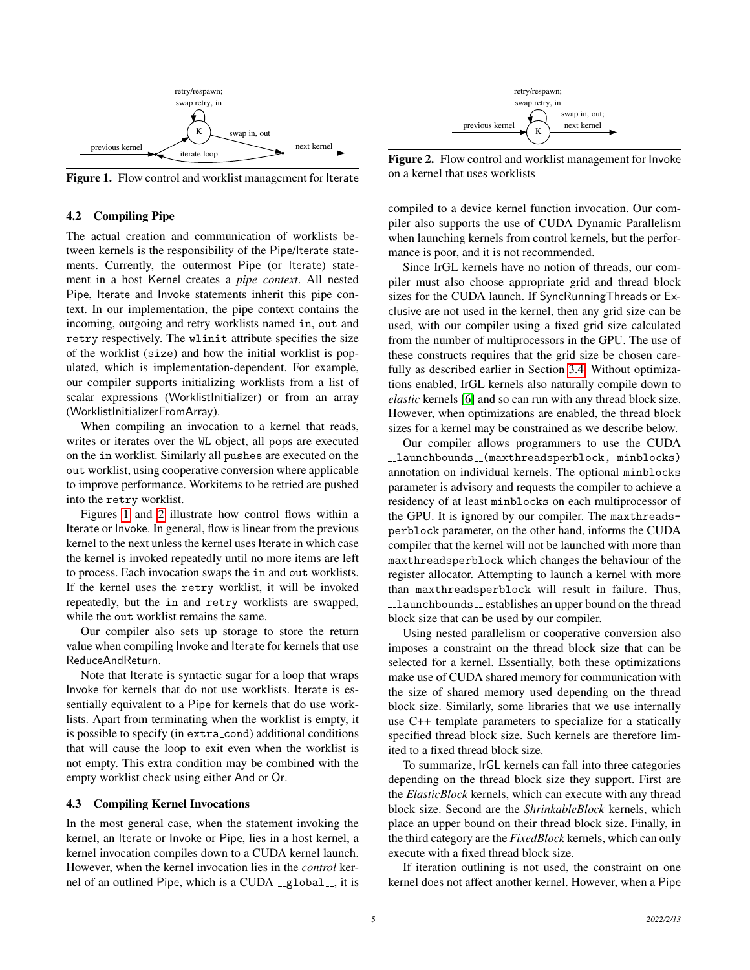

<span id="page-4-1"></span>Figure 1. Flow control and worklist management for Iterate

#### 4.2 Compiling Pipe

The actual creation and communication of worklists between kernels is the responsibility of the Pipe/Iterate statements. Currently, the outermost Pipe (or Iterate) statement in a host Kernel creates a *pipe context*. All nested Pipe, Iterate and Invoke statements inherit this pipe context. In our implementation, the pipe context contains the incoming, outgoing and retry worklists named in, out and retry respectively. The wlinit attribute specifies the size of the worklist (size) and how the initial worklist is populated, which is implementation-dependent. For example, our compiler supports initializing worklists from a list of scalar expressions (WorklistInitializer) or from an array (WorklistInitializerFromArray).

When compiling an invocation to a kernel that reads, writes or iterates over the WL object, all pops are executed on the in worklist. Similarly all pushes are executed on the out worklist, using cooperative conversion where applicable to improve performance. Workitems to be retried are pushed into the retry worklist.

Figures [1](#page-4-1) and [2](#page-4-2) illustrate how control flows within a Iterate or Invoke. In general, flow is linear from the previous kernel to the next unless the kernel uses Iterate in which case the kernel is invoked repeatedly until no more items are left to process. Each invocation swaps the in and out worklists. If the kernel uses the retry worklist, it will be invoked repeatedly, but the in and retry worklists are swapped, while the out worklist remains the same.

Our compiler also sets up storage to store the return value when compiling Invoke and Iterate for kernels that use ReduceAndReturn.

Note that Iterate is syntactic sugar for a loop that wraps Invoke for kernels that do not use worklists. Iterate is essentially equivalent to a Pipe for kernels that do use worklists. Apart from terminating when the worklist is empty, it is possible to specify (in extra cond) additional conditions that will cause the loop to exit even when the worklist is not empty. This extra condition may be combined with the empty worklist check using either And or Or.

#### <span id="page-4-0"></span>4.3 Compiling Kernel Invocations

In the most general case, when the statement invoking the kernel, an Iterate or Invoke or Pipe, lies in a host kernel, a kernel invocation compiles down to a CUDA kernel launch. However, when the kernel invocation lies in the *control* kernel of an outlined Pipe, which is a CUDA  $_{-}$ global $_{-}$ , it is



<span id="page-4-2"></span>Figure 2. Flow control and worklist management for Invoke on a kernel that uses worklists

compiled to a device kernel function invocation. Our compiler also supports the use of CUDA Dynamic Parallelism when launching kernels from control kernels, but the performance is poor, and it is not recommended.

Since IrGL kernels have no notion of threads, our compiler must also choose appropriate grid and thread block sizes for the CUDA launch. If SyncRunningThreads or Exclusive are not used in the kernel, then any grid size can be used, with our compiler using a fixed grid size calculated from the number of multiprocessors in the GPU. The use of these constructs requires that the grid size be chosen carefully as described earlier in Section [3.4.](#page-2-2) Without optimizations enabled, IrGL kernels also naturally compile down to *elastic* kernels [\[6\]](#page-5-10) and so can run with any thread block size. However, when optimizations are enabled, the thread block sizes for a kernel may be constrained as we describe below.

Our compiler allows programmers to use the CUDA ..launchbounds ... (maxthreadsperblock, minblocks) annotation on individual kernels. The optional minblocks parameter is advisory and requests the compiler to achieve a residency of at least minblocks on each multiprocessor of the GPU. It is ignored by our compiler. The maxthreadsperblock parameter, on the other hand, informs the CUDA compiler that the kernel will not be launched with more than maxthreadsperblock which changes the behaviour of the register allocator. Attempting to launch a kernel with more than maxthreadsperblock will result in failure. Thus, -launchbounds - establishes an upper bound on the thread block size that can be used by our compiler.

Using nested parallelism or cooperative conversion also imposes a constraint on the thread block size that can be selected for a kernel. Essentially, both these optimizations make use of CUDA shared memory for communication with the size of shared memory used depending on the thread block size. Similarly, some libraries that we use internally use C++ template parameters to specialize for a statically specified thread block size. Such kernels are therefore limited to a fixed thread block size.

To summarize, IrGL kernels can fall into three categories depending on the thread block size they support. First are the *ElasticBlock* kernels, which can execute with any thread block size. Second are the *ShrinkableBlock* kernels, which place an upper bound on their thread block size. Finally, in the third category are the *FixedBlock* kernels, which can only execute with a fixed thread block size.

If iteration outlining is not used, the constraint on one kernel does not affect another kernel. However, when a Pipe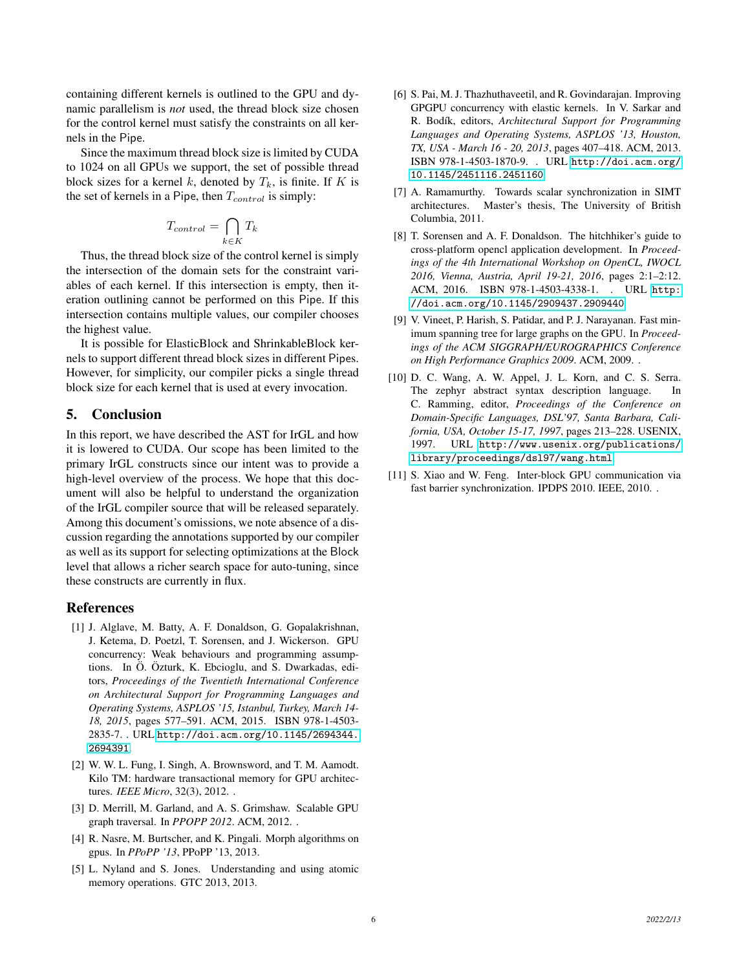containing different kernels is outlined to the GPU and dynamic parallelism is *not* used, the thread block size chosen for the control kernel must satisfy the constraints on all kernels in the Pipe.

Since the maximum thread block size is limited by CUDA to 1024 on all GPUs we support, the set of possible thread block sizes for a kernel k, denoted by  $T_k$ , is finite. If K is the set of kernels in a Pipe, then  $T_{control}$  is simply:

$$
T_{control} = \bigcap_{k \in K} T_k
$$

Thus, the thread block size of the control kernel is simply the intersection of the domain sets for the constraint variables of each kernel. If this intersection is empty, then iteration outlining cannot be performed on this Pipe. If this intersection contains multiple values, our compiler chooses the highest value.

It is possible for ElasticBlock and ShrinkableBlock kernels to support different thread block sizes in different Pipes. However, for simplicity, our compiler picks a single thread block size for each kernel that is used at every invocation.

## 5. Conclusion

In this report, we have described the AST for IrGL and how it is lowered to CUDA. Our scope has been limited to the primary IrGL constructs since our intent was to provide a high-level overview of the process. We hope that this document will also be helpful to understand the organization of the IrGL compiler source that will be released separately. Among this document's omissions, we note absence of a discussion regarding the annotations supported by our compiler as well as its support for selecting optimizations at the Block level that allows a richer search space for auto-tuning, since these constructs are currently in flux.

### References

- <span id="page-5-3"></span>[1] J. Alglave, M. Batty, A. F. Donaldson, G. Gopalakrishnan, J. Ketema, D. Poetzl, T. Sorensen, and J. Wickerson. GPU concurrency: Weak behaviours and programming assumptions. In Ö. Özturk, K. Ebcioglu, and S. Dwarkadas, editors, *Proceedings of the Twentieth International Conference on Architectural Support for Programming Languages and Operating Systems, ASPLOS '15, Istanbul, Turkey, March 14- 18, 2015*, pages 577–591. ACM, 2015. ISBN 978-1-4503- 2835-7. . URL [http://doi.acm.org/10.1145/2694344.](http://doi.acm.org/10.1145/2694344.2694391) [2694391](http://doi.acm.org/10.1145/2694344.2694391).
- <span id="page-5-4"></span>[2] W. W. L. Fung, I. Singh, A. Brownsword, and T. M. Aamodt. Kilo TM: hardware transactional memory for GPU architectures. *IEEE Micro*, 32(3), 2012. .
- <span id="page-5-8"></span>[3] D. Merrill, M. Garland, and A. S. Grimshaw. Scalable GPU graph traversal. In *PPOPP 2012*. ACM, 2012. .
- <span id="page-5-7"></span>[4] R. Nasre, M. Burtscher, and K. Pingali. Morph algorithms on gpus. In *PPoPP '13*, PPoPP '13, 2013.
- <span id="page-5-5"></span>[5] L. Nyland and S. Jones. Understanding and using atomic memory operations. GTC 2013, 2013.
- <span id="page-5-10"></span>[6] S. Pai, M. J. Thazhuthaveetil, and R. Govindarajan. Improving GPGPU concurrency with elastic kernels. In V. Sarkar and R. Bod´ık, editors, *Architectural Support for Programming Languages and Operating Systems, ASPLOS '13, Houston, TX, USA - March 16 - 20, 2013*, pages 407–418. ACM, 2013. ISBN 978-1-4503-1870-9. . URL [http://doi.acm.org/](http://doi.acm.org/10.1145/2451116.2451160) [10.1145/2451116.2451160](http://doi.acm.org/10.1145/2451116.2451160).
- <span id="page-5-1"></span>[7] A. Ramamurthy. Towards scalar synchronization in SIMT architectures. Master's thesis, The University of British Columbia, 2011.
- <span id="page-5-9"></span>[8] T. Sorensen and A. F. Donaldson. The hitchhiker's guide to cross-platform opencl application development. In *Proceedings of the 4th International Workshop on OpenCL, IWOCL 2016, Vienna, Austria, April 19-21, 2016*, pages 2:1–2:12. ACM, 2016. ISBN 978-1-4503-4338-1. . URL [http:](http://doi.acm.org/10.1145/2909437.2909440) [//doi.acm.org/10.1145/2909437.2909440](http://doi.acm.org/10.1145/2909437.2909440).
- <span id="page-5-6"></span>[9] V. Vineet, P. Harish, S. Patidar, and P. J. Narayanan. Fast minimum spanning tree for large graphs on the GPU. In *Proceedings of the ACM SIGGRAPH/EUROGRAPHICS Conference on High Performance Graphics 2009*. ACM, 2009. .
- <span id="page-5-0"></span>[10] D. C. Wang, A. W. Appel, J. L. Korn, and C. S. Serra. The zephyr abstract syntax description language. In C. Ramming, editor, *Proceedings of the Conference on Domain-Specific Languages, DSL'97, Santa Barbara, California, USA, October 15-17, 1997*, pages 213–228. USENIX, 1997. URL [http://www.usenix.org/publications/](http://www.usenix.org/publications/library/proceedings/dsl97/wang.html) [library/proceedings/dsl97/wang.html](http://www.usenix.org/publications/library/proceedings/dsl97/wang.html).
- <span id="page-5-2"></span>[11] S. Xiao and W. Feng. Inter-block GPU communication via fast barrier synchronization. IPDPS 2010. IEEE, 2010. .